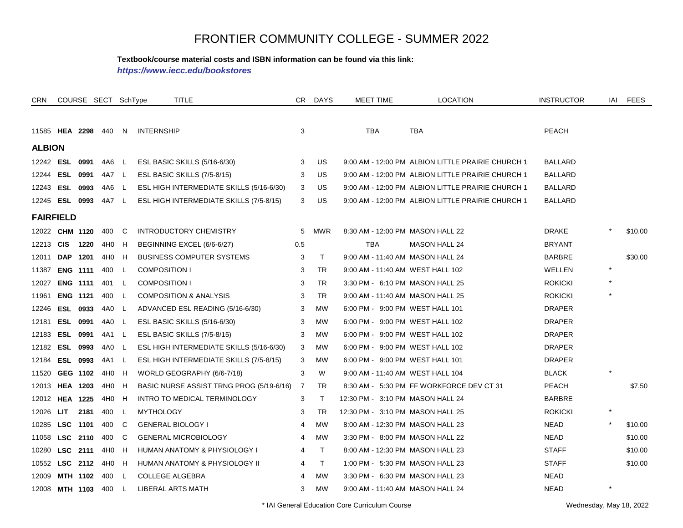#### **Textbook/course material costs and ISBN information can be found via this link:**

*https://www.iecc.edu/bookstores*

| CRN              |                 | COURSE SECT SchType |                 |              | TITLE                                    |                | CR DAYS      | MEET TIME                        | <b>LOCATION</b>                                   | <b>INSTRUCTOR</b> | IAI     | <b>FEES</b> |
|------------------|-----------------|---------------------|-----------------|--------------|------------------------------------------|----------------|--------------|----------------------------------|---------------------------------------------------|-------------------|---------|-------------|
|                  |                 |                     |                 |              |                                          |                |              |                                  |                                                   |                   |         |             |
| 11585 HEA 2298   |                 |                     | 440             | N.           | <b>INTERNSHIP</b>                        | 3              |              | <b>TBA</b>                       | <b>TBA</b>                                        | <b>PEACH</b>      |         |             |
| <b>ALBION</b>    |                 |                     |                 |              |                                          |                |              |                                  |                                                   |                   |         |             |
| 12242 <b>ESL</b> |                 | 0991                | 4A6             | -L           | ESL BASIC SKILLS (5/16-6/30)             | 3              | <b>US</b>    |                                  | 9:00 AM - 12:00 PM ALBION LITTLE PRAIRIE CHURCH 1 | <b>BALLARD</b>    |         |             |
| 12244            |                 | <b>ESL 0991</b>     | 4A7             | $\mathsf{L}$ | ESL BASIC SKILLS (7/5-8/15)              | 3              | US           |                                  | 9:00 AM - 12:00 PM ALBION LITTLE PRAIRIE CHURCH 1 | <b>BALLARD</b>    |         |             |
| 12243            | <b>ESL</b>      | 0993                | 4A6             | L            | ESL HIGH INTERMEDIATE SKILLS (5/16-6/30) | 3              | US           |                                  | 9:00 AM - 12:00 PM ALBION LITTLE PRAIRIE CHURCH 1 | <b>BALLARD</b>    |         |             |
| 12245            | <b>ESL 0993</b> |                     | 4A7             | L            | ESL HIGH INTERMEDIATE SKILLS (7/5-8/15)  | 3              | US           |                                  | 9:00 AM - 12:00 PM ALBION LITTLE PRAIRIE CHURCH 1 | <b>BALLARD</b>    |         |             |
| <b>FAIRFIELD</b> |                 |                     |                 |              |                                          |                |              |                                  |                                                   |                   |         |             |
| 12022            |                 | <b>CHM 1120</b>     | 400             | C            | <b>INTRODUCTORY CHEMISTRY</b>            | 5              | <b>MWR</b>   | 8:30 AM - 12:00 PM MASON HALL 22 |                                                   | <b>DRAKE</b>      |         | \$10.00     |
| 12213            | <b>CIS</b>      | 1220                | 4H0             | H            | BEGINNING EXCEL (6/6-6/27)               | 0.5            |              | <b>TBA</b>                       | <b>MASON HALL 24</b>                              | <b>BRYANT</b>     |         |             |
| 12011            | <b>DAP</b>      | 1201                | 4H <sub>0</sub> | H            | <b>BUSINESS COMPUTER SYSTEMS</b>         | 3              | T            | 9:00 AM - 11:40 AM MASON HALL 24 |                                                   | <b>BARBRE</b>     |         | \$30.00     |
| 11387            |                 | <b>ENG 1111</b>     | 400             | L            | <b>COMPOSITION I</b>                     | 3              | <b>TR</b>    | 9:00 AM - 11:40 AM WEST HALL 102 |                                                   | WELLEN            | $\star$ |             |
| 12027            |                 | <b>ENG 1111</b>     | 401             | L            | <b>COMPOSITION I</b>                     | 3              | <b>TR</b>    | 3:30 PM - 6:10 PM MASON HALL 25  |                                                   | <b>ROKICKI</b>    |         |             |
| 11961            |                 | <b>ENG 1121</b>     | 400             | L            | <b>COMPOSITION &amp; ANALYSIS</b>        | 3              | <b>TR</b>    | 9:00 AM - 11:40 AM MASON HALL 25 |                                                   | <b>ROKICKI</b>    |         |             |
| 12246            |                 | ESL 0933            | 4A0             | L.           | ADVANCED ESL READING (5/16-6/30)         | 3              | <b>MW</b>    | 6:00 PM - 9:00 PM WEST HALL 101  |                                                   | <b>DRAPER</b>     |         |             |
| 12181            | <b>ESL</b>      | 0991                | 4A0             | L            | ESL BASIC SKILLS (5/16-6/30)             | 3              | <b>MW</b>    | 6:00 PM - 9:00 PM WEST HALL 102  |                                                   | <b>DRAPER</b>     |         |             |
| 12183            |                 | <b>ESL 0991</b>     | 4A1             | L            | ESL BASIC SKILLS (7/5-8/15)              | 3              | <b>MW</b>    | 6:00 PM - 9:00 PM WEST HALL 102  |                                                   | <b>DRAPER</b>     |         |             |
| 12182            |                 | <b>ESL 0993</b>     | 4A0             | L            | ESL HIGH INTERMEDIATE SKILLS (5/16-6/30) | 3              | <b>MW</b>    | 6:00 PM - 9:00 PM WEST HALL 102  |                                                   | <b>DRAPER</b>     |         |             |
| 12184            |                 | <b>ESL 0993</b>     | 4A1             | L            | ESL HIGH INTERMEDIATE SKILLS (7/5-8/15)  | 3              | MW           | 6:00 PM - 9:00 PM WEST HALL 101  |                                                   | <b>DRAPER</b>     |         |             |
| 11520            |                 | GEG 1102            | 4H0             | H            | WORLD GEOGRAPHY (6/6-7/18)               | 3              | W            | 9:00 AM - 11:40 AM WEST HALL 104 |                                                   | <b>BLACK</b>      |         |             |
| 12013            |                 | <b>HEA 1203</b>     | 4H <sub>0</sub> | H            | BASIC NURSE ASSIST TRNG PROG (5/19-6/16) | 7              | <b>TR</b>    |                                  | 8:30 AM - 5:30 PM FF WORKFORCE DEV CT 31          | <b>PEACH</b>      |         | \$7.50      |
| 12012            |                 | <b>HEA 1225</b>     | 4H <sub>0</sub> | H            | INTRO TO MEDICAL TERMINOLOGY             | 3              | $\top$       | 12:30 PM - 3:10 PM MASON HALL 24 |                                                   | <b>BARBRE</b>     |         |             |
| 12026            | <b>LIT</b>      | 2181                | 400             | L            | <b>MYTHOLOGY</b>                         | 3              | TR           | 12:30 PM - 3:10 PM MASON HALL 25 |                                                   | <b>ROKICKI</b>    | $\star$ |             |
| 10285            | <b>LSC</b>      | 1101                | 400             | C            | <b>GENERAL BIOLOGY I</b>                 | 4              | <b>MW</b>    | 8:00 AM - 12:30 PM MASON HALL 23 |                                                   | <b>NEAD</b>       |         | \$10.00     |
| 11058            |                 | LSC 2110            | 400             | C            | <b>GENERAL MICROBIOLOGY</b>              | 4              | <b>MW</b>    | 3:30 PM - 8:00 PM MASON HALL 22  |                                                   | NEAD              |         | \$10.00     |
| 10280            |                 | LSC 2111            | 4H0             | H            | HUMAN ANATOMY & PHYSIOLOGY I             | 4              | $\mathsf{T}$ | 8:00 AM - 12:30 PM MASON HALL 23 |                                                   | <b>STAFF</b>      |         | \$10.00     |
| 10552            |                 | LSC 2112            | 4H <sub>0</sub> | H            | HUMAN ANATOMY & PHYSIOLOGY II            | 4              | $\mathsf{T}$ | 1:00 PM - 5:30 PM MASON HALL 23  |                                                   | <b>STAFF</b>      |         | \$10.00     |
| 12009            |                 | MTH 1102            | 400             | L            | <b>COLLEGE ALGEBRA</b>                   | $\overline{4}$ | <b>MW</b>    | 3:30 PM - 6:30 PM MASON HALL 23  |                                                   | NEAD              |         |             |
| 12008            |                 | MTH 1103            | 400             | L            | LIBERAL ARTS MATH                        | 3              | <b>MW</b>    | 9:00 AM - 11:40 AM MASON HALL 24 |                                                   | <b>NEAD</b>       | $\star$ |             |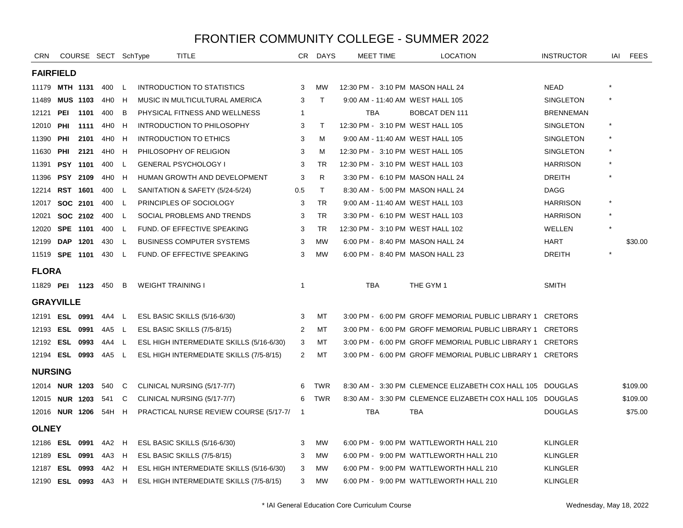| CRN                   |                  |                 | COURSE SECT SchType         |          |                          | <b>TITLE</b>                             | CR.            | <b>DAYS</b>  |            | <b>MEET TIME</b> | <b>LOCATION</b>                                           | <b>INSTRUCTOR</b> | IAI | <b>FEES</b> |  |
|-----------------------|------------------|-----------------|-----------------------------|----------|--------------------------|------------------------------------------|----------------|--------------|------------|------------------|-----------------------------------------------------------|-------------------|-----|-------------|--|
|                       | <b>FAIRFIELD</b> |                 |                             |          |                          |                                          |                |              |            |                  |                                                           |                   |     |             |  |
| 11179 MTH 1131        |                  |                 | 400                         | <b>L</b> |                          | <b>INTRODUCTION TO STATISTICS</b>        | 3              | <b>MW</b>    |            |                  | 12:30 PM - 3:10 PM MASON HALL 24                          | <b>NEAD</b>       |     |             |  |
| 11489                 | <b>MUS 1103</b>  |                 | 4H0 H                       |          |                          | MUSIC IN MULTICULTURAL AMERICA           | 3              | $\top$       |            |                  | 9:00 AM - 11:40 AM WEST HALL 105                          | SINGLETON         |     |             |  |
| 12121                 | PEI              | 1101            | 400                         | В        |                          | PHYSICAL FITNESS AND WELLNESS            | $\mathbf{1}$   |              | <b>TBA</b> |                  | <b>BOBCAT DEN 111</b>                                     | <b>BRENNEMAN</b>  |     |             |  |
| 12010                 | PHI              | 1111            | 4H0                         | H        |                          | INTRODUCTION TO PHILOSOPHY               | 3              | T            |            |                  | 12:30 PM - 3:10 PM WEST HALL 105                          | SINGLETON         |     |             |  |
| 11390                 | PHI              | 2101            | 4H0 H                       |          |                          | <b>INTRODUCTION TO ETHICS</b>            | 3              | м            |            |                  | 9:00 AM - 11:40 AM WEST HALL 105                          | SINGLETON         |     |             |  |
| 11630                 | PHI              | 2121            | 4H0 H                       |          |                          | PHILOSOPHY OF RELIGION                   | 3              | M            |            |                  | 12:30 PM - 3:10 PM WEST HALL 105                          | SINGLETON         |     |             |  |
| 11391                 |                  | <b>PSY 1101</b> | 400 L                       |          |                          | <b>GENERAL PSYCHOLOGY I</b>              | 3              | TR           |            |                  | 12:30 PM - 3:10 PM WEST HALL 103                          | <b>HARRISON</b>   |     |             |  |
| 11396                 |                  | <b>PSY 2109</b> | 4H <sub>0</sub>             | - H      |                          | HUMAN GROWTH AND DEVELOPMENT             | 3              | R.           |            |                  | 3:30 PM - 6:10 PM MASON HALL 24                           | <b>DREITH</b>     |     |             |  |
| 12214                 | RST 1601         |                 | 400                         | L        |                          | SANITATION & SAFETY (5/24-5/24)          | 0.5            | $\mathsf{T}$ |            |                  | 8:30 AM - 5:00 PM MASON HALL 24                           | <b>DAGG</b>       |     |             |  |
| 12017                 | SOC 2101         |                 | 400                         | L.       |                          | PRINCIPLES OF SOCIOLOGY                  | 3              | <b>TR</b>    |            |                  | 9:00 AM - 11:40 AM WEST HALL 103                          | <b>HARRISON</b>   |     |             |  |
| 12021                 |                  | SOC 2102        | 400                         | L,       |                          | SOCIAL PROBLEMS AND TRENDS               | 3              | TR           |            |                  | 3:30 PM - 6:10 PM WEST HALL 103                           | <b>HARRISON</b>   |     |             |  |
| 12020                 |                  | SPE 1101        | 400                         | - L      |                          | FUND. OF EFFECTIVE SPEAKING              | 3              | TR           |            |                  | 12:30 PM - 3:10 PM WEST HALL 102                          | WELLEN            |     |             |  |
| 12199                 | DAP 1201         |                 | 430                         | L        |                          | <b>BUSINESS COMPUTER SYSTEMS</b>         | 3              | <b>MW</b>    |            |                  | 6:00 PM - 8:40 PM MASON HALL 24                           | <b>HART</b>       |     | \$30.00     |  |
| 11519 SPE 1101        |                  |                 | 430 L                       |          |                          | FUND. OF EFFECTIVE SPEAKING              | 3              | <b>MW</b>    |            |                  | 6:00 PM - 8:40 PM MASON HALL 23                           | <b>DREITH</b>     |     |             |  |
| <b>FLORA</b>          |                  |                 |                             |          |                          |                                          |                |              |            |                  |                                                           |                   |     |             |  |
|                       |                  |                 | 11829 <b>PEI 1123</b> 450 B |          | <b>WEIGHT TRAINING I</b> |                                          | $\mathbf{1}$   |              | <b>TBA</b> |                  | THE GYM 1                                                 | <b>SMITH</b>      |     |             |  |
| <b>GRAYVILLE</b>      |                  |                 |                             |          |                          |                                          |                |              |            |                  |                                                           |                   |     |             |  |
| 12191 ESL 0991        |                  |                 | 4A4 L                       |          |                          | ESL BASIC SKILLS (5/16-6/30)             | 3              | МT           |            |                  | 3:00 PM - 6:00 PM GROFF MEMORIAL PUBLIC LIBRARY 1 CRETORS |                   |     |             |  |
| 12193 ESL 0991        |                  |                 | 4A5 L                       |          |                          | ESL BASIC SKILLS (7/5-8/15)              | 2              | MT           |            |                  | 3:00 PM - 6:00 PM GROFF MEMORIAL PUBLIC LIBRARY 1         | CRETORS           |     |             |  |
| 12192 ESL 0993        |                  |                 | 4A4                         | L.       |                          | ESL HIGH INTERMEDIATE SKILLS (5/16-6/30) | 3              | MT           |            |                  | 3:00 PM - 6:00 PM GROFF MEMORIAL PUBLIC LIBRARY 1 CRETORS |                   |     |             |  |
| 12194 ESL 0993        |                  |                 | 4A5 L                       |          |                          | ESL HIGH INTERMEDIATE SKILLS (7/5-8/15)  | $\overline{2}$ | МT           |            |                  | 3:00 PM - 6:00 PM GROFF MEMORIAL PUBLIC LIBRARY 1 CRETORS |                   |     |             |  |
| <b>NURSING</b>        |                  |                 |                             |          |                          |                                          |                |              |            |                  |                                                           |                   |     |             |  |
| 12014 NUR 1203        |                  |                 | 540                         | - C      |                          | CLINICAL NURSING (5/17-7/7)              | 6              | <b>TWR</b>   |            |                  | 8:30 AM - 3:30 PM CLEMENCE ELIZABETH COX HALL 105 DOUGLAS |                   |     | \$109.00    |  |
| 12015 <b>NUR 1203</b> |                  |                 | 541                         | C        |                          | CLINICAL NURSING (5/17-7/7)              | 6              | TWR          |            |                  | 8:30 AM - 3:30 PM CLEMENCE ELIZABETH COX HALL 105         | DOUGLAS           |     | \$109.00    |  |
| 12016 NUR 1206        |                  |                 | 54H H                       |          |                          | PRACTICAL NURSE REVIEW COURSE (5/17-7/   | $\overline{1}$ |              | TBA        |                  | TBA                                                       | <b>DOUGLAS</b>    |     | \$75.00     |  |
| <b>OLNEY</b>          |                  |                 |                             |          |                          |                                          |                |              |            |                  |                                                           |                   |     |             |  |
| 12186 <b>ESL 0991</b> |                  |                 | 4A2 H                       |          |                          | ESL BASIC SKILLS (5/16-6/30)             | 3              | МW           |            |                  | 6:00 PM - 9:00 PM WATTLEWORTH HALL 210                    | <b>KLINGLER</b>   |     |             |  |
| 12189                 | <b>ESL 0991</b>  |                 | 4A3 H                       |          |                          | ESL BASIC SKILLS (7/5-8/15)              | 3              | МW           |            |                  | 6:00 PM - 9:00 PM WATTLEWORTH HALL 210                    | <b>KLINGLER</b>   |     |             |  |
| 12187 ESL 0993        |                  |                 | 4A2                         | H        |                          | ESL HIGH INTERMEDIATE SKILLS (5/16-6/30) | 3              | MW           |            |                  | 6:00 PM - 9:00 PM WATTLEWORTH HALL 210                    | <b>KLINGLER</b>   |     |             |  |
| 12190 ESL 0993        |                  |                 | 4A3                         | H        |                          | ESL HIGH INTERMEDIATE SKILLS (7/5-8/15)  | 3              | MW           |            |                  | 6:00 PM - 9:00 PM WATTLEWORTH HALL 210                    | <b>KLINGLER</b>   |     |             |  |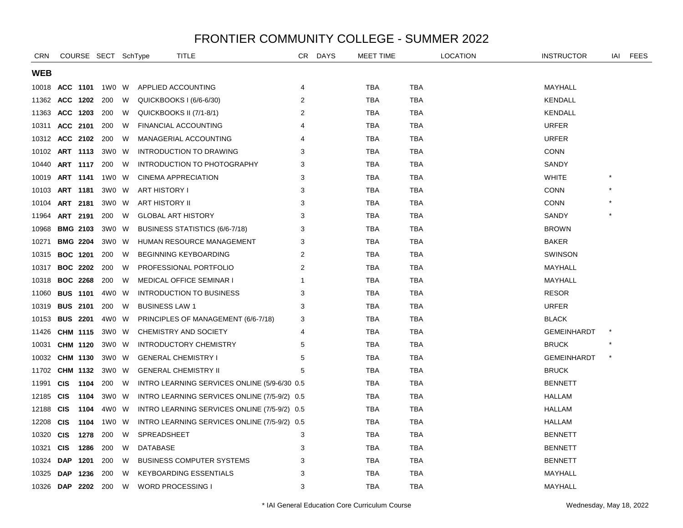| <b>CRN</b>     |            |                 | COURSE SECT SchType |     | <b>TITLE</b>                                  | CR.            | <b>DAYS</b> | MEET TIME  |            | <b>LOCATION</b> | <b>INSTRUCTOR</b>  | IAI     | FEES |
|----------------|------------|-----------------|---------------------|-----|-----------------------------------------------|----------------|-------------|------------|------------|-----------------|--------------------|---------|------|
| <b>WEB</b>     |            |                 |                     |     |                                               |                |             |            |            |                 |                    |         |      |
| 10018          |            | ACC 1101        | 1W0 W               |     | APPLIED ACCOUNTING                            | 4              |             | <b>TBA</b> | <b>TBA</b> |                 | MAYHALL            |         |      |
| 11362          | ACC 1202   |                 | 200                 | W   | QUICKBOOKS I (6/6-6/30)                       | 2              |             | <b>TBA</b> | <b>TBA</b> |                 | <b>KENDALL</b>     |         |      |
| 11363          | ACC 1203   |                 | 200                 | W   | QUICKBOOKS II (7/1-8/1)                       | 2              |             | <b>TBA</b> | <b>TBA</b> |                 | <b>KENDALL</b>     |         |      |
| 10311          |            | ACC 2101        | 200                 | W   | <b>FINANCIAL ACCOUNTING</b>                   | $\overline{4}$ |             | <b>TBA</b> | <b>TBA</b> |                 | <b>URFER</b>       |         |      |
| 10312          |            | ACC 2102        | 200                 | W   | MANAGERIAL ACCOUNTING                         | 4              |             | <b>TBA</b> | <b>TBA</b> |                 | <b>URFER</b>       |         |      |
| 10102          |            | ART 1113        | 3W0                 | - W | INTRODUCTION TO DRAWING                       | 3              |             | <b>TBA</b> | <b>TBA</b> |                 | <b>CONN</b>        |         |      |
| 10440          |            | ART 1117        | 200                 | W   | INTRODUCTION TO PHOTOGRAPHY                   | 3              |             | <b>TBA</b> | <b>TBA</b> |                 | SANDY              |         |      |
| 10019          |            | ART 1141        | 1W0 W               |     | <b>CINEMA APPRECIATION</b>                    | 3              |             | <b>TBA</b> | <b>TBA</b> |                 | <b>WHITE</b>       |         |      |
| 10103          |            | ART 1181        | 3W0 W               |     | <b>ART HISTORY I</b>                          | 3              |             | <b>TBA</b> | <b>TBA</b> |                 | <b>CONN</b>        |         |      |
| 10104          |            | ART 2181        | 3W0 W               |     | ART HISTORY II                                | 3              |             | <b>TBA</b> | <b>TBA</b> |                 | <b>CONN</b>        |         |      |
| 11964          |            | ART 2191        | 200                 | W   | <b>GLOBAL ART HISTORY</b>                     | 3              |             | <b>TBA</b> | <b>TBA</b> |                 | SANDY              |         |      |
| 10968          |            | <b>BMG 2103</b> | 3W0 W               |     | BUSINESS STATISTICS (6/6-7/18)                | 3              |             | TBA        | <b>TBA</b> |                 | <b>BROWN</b>       |         |      |
| 10271          |            | <b>BMG 2204</b> | 3W0 W               |     | HUMAN RESOURCE MANAGEMENT                     | 3              |             | TBA        | <b>TBA</b> |                 | <b>BAKER</b>       |         |      |
| 10315          |            | <b>BOC 1201</b> | 200                 | W   | BEGINNING KEYBOARDING                         | 2              |             | <b>TBA</b> | <b>TBA</b> |                 | <b>SWINSON</b>     |         |      |
| 10317          |            | <b>BOC 2202</b> | 200                 | W   | PROFESSIONAL PORTFOLIO                        | 2              |             | <b>TBA</b> | <b>TBA</b> |                 | MAYHALL            |         |      |
| 10318          |            | <b>BOC 2268</b> | 200                 | W   | <b>MEDICAL OFFICE SEMINAR I</b>               | 1              |             | <b>TBA</b> | TBA        |                 | MAYHALL            |         |      |
| 11060          |            | <b>BUS 1101</b> | 4W0                 | W   | INTRODUCTION TO BUSINESS                      | 3              |             | TBA        | <b>TBA</b> |                 | <b>RESOR</b>       |         |      |
| 10319          |            | <b>BUS 2101</b> | 200                 | W   | <b>BUSINESS LAW 1</b>                         | 3              |             | <b>TBA</b> | <b>TBA</b> |                 | <b>URFER</b>       |         |      |
| 10153          |            | <b>BUS 2201</b> | 4W0 W               |     | PRINCIPLES OF MANAGEMENT (6/6-7/18)           | 3              |             | <b>TBA</b> | <b>TBA</b> |                 | <b>BLACK</b>       |         |      |
| 11426          |            | CHM 1115        | 3W0 W               |     | CHEMISTRY AND SOCIETY                         | 4              |             | <b>TBA</b> | TBA        |                 | <b>GEMEINHARDT</b> | $\ast$  |      |
| 10031          |            | <b>CHM 1120</b> | 3W0 W               |     | <b>INTRODUCTORY CHEMISTRY</b>                 | 5              |             | TBA        | TBA        |                 | <b>BRUCK</b>       |         |      |
| 10032          |            | CHM 1130        | 3W0 W               |     | <b>GENERAL CHEMISTRY I</b>                    | 5              |             | <b>TBA</b> | <b>TBA</b> |                 | <b>GEMEINHARDT</b> | $\star$ |      |
| 11702          |            | CHM 1132        | 3W0 W               |     | <b>GENERAL CHEMISTRY II</b>                   | 5              |             | <b>TBA</b> | <b>TBA</b> |                 | <b>BRUCK</b>       |         |      |
| 11991          | <b>CIS</b> | 1104            | 200                 | W   | INTRO LEARNING SERVICES ONLINE (5/9-6/30 0.5) |                |             | TBA        | TBA        |                 | <b>BENNETT</b>     |         |      |
| 12185          | <b>CIS</b> | 1104            | 3W0 W               |     | INTRO LEARNING SERVICES ONLINE (7/5-9/2) 0.5  |                |             | TBA        | <b>TBA</b> |                 | <b>HALLAM</b>      |         |      |
| 12188          | <b>CIS</b> | 1104            | 4W0 W               |     | INTRO LEARNING SERVICES ONLINE (7/5-9/2) 0.5  |                |             | <b>TBA</b> | <b>TBA</b> |                 | HALLAM             |         |      |
| 12208          | <b>CIS</b> | 1104            | 1W0 W               |     | INTRO LEARNING SERVICES ONLINE (7/5-9/2) 0.5  |                |             | <b>TBA</b> | <b>TBA</b> |                 | HALLAM             |         |      |
| 10320          | <b>CIS</b> | 1278            | 200                 | W   | SPREADSHEET                                   | 3              |             | TBA        | <b>TBA</b> |                 | <b>BENNETT</b>     |         |      |
| 10321          | <b>CIS</b> | 1286            | 200                 | W   | DATABASE                                      | 3              |             | <b>TBA</b> | <b>TBA</b> |                 | <b>BENNETT</b>     |         |      |
| 10324          | <b>DAP</b> | 1201            | 200                 | W   | <b>BUSINESS COMPUTER SYSTEMS</b>              | 3              |             | <b>TBA</b> | <b>TBA</b> |                 | <b>BENNETT</b>     |         |      |
| 10325          | <b>DAP</b> | 1236            | 200                 | W   | <b>KEYBOARDING ESSENTIALS</b>                 | 3              |             | <b>TBA</b> | <b>TBA</b> |                 | MAYHALL            |         |      |
| 10326 DAP 2202 |            |                 | 200                 | W   | <b>WORD PROCESSING I</b>                      | 3              |             | <b>TBA</b> | TBA        |                 | MAYHALL            |         |      |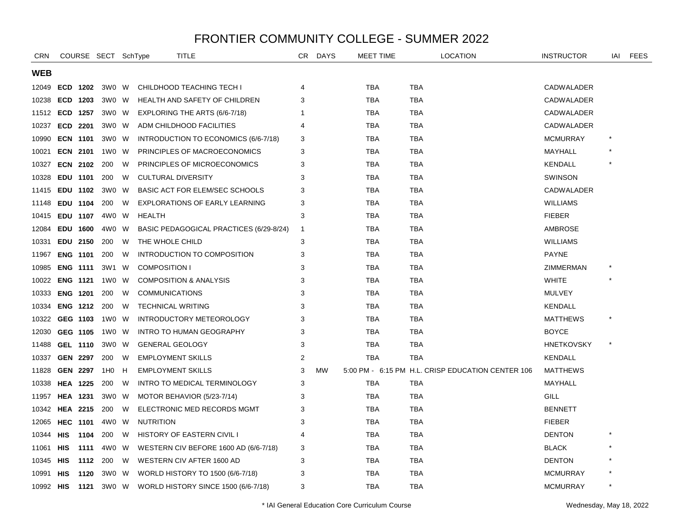| <b>CRN</b> |                 |                 | COURSE SECT SchType |    | TITLE                                   | CR.            | <b>DAYS</b> | MEET TIME  |            | LOCATION                                          | <b>INSTRUCTOR</b> | IAI    | <b>FEES</b> |
|------------|-----------------|-----------------|---------------------|----|-----------------------------------------|----------------|-------------|------------|------------|---------------------------------------------------|-------------------|--------|-------------|
| WEB        |                 |                 |                     |    |                                         |                |             |            |            |                                                   |                   |        |             |
| 12049      |                 | ECD 1202        | 3W0 W               |    | CHILDHOOD TEACHING TECH I               | 4              |             | TBA        | TBA        |                                                   | CADWALADER        |        |             |
| 10238      |                 | ECD 1203        | 3W0 W               |    | HEALTH AND SAFETY OF CHILDREN           | 3              |             | TBA        | <b>TBA</b> |                                                   | CADWALADER        |        |             |
| 11512      |                 | ECD 1257        | 3W0 W               |    | EXPLORING THE ARTS (6/6-7/18)           | 1              |             | <b>TBA</b> | <b>TBA</b> |                                                   | CADWALADER        |        |             |
| 10237      |                 | ECD 2201        | 3W0 W               |    | ADM CHILDHOOD FACILITIES                | 4              |             | <b>TBA</b> | <b>TBA</b> |                                                   | CADWALADER        |        |             |
| 10990      |                 | <b>ECN 1101</b> | 3W0 W               |    | INTRODUCTION TO ECONOMICS (6/6-7/18)    | 3              |             | TBA        | <b>TBA</b> |                                                   | <b>MCMURRAY</b>   |        |             |
| 10021      |                 | <b>ECN 2101</b> | 1W0                 | W. | PRINCIPLES OF MACROECONOMICS            | 3              |             | <b>TBA</b> | <b>TBA</b> |                                                   | MAYHALL           |        |             |
| 10327      |                 | <b>ECN 2102</b> | 200                 | W  | PRINCIPLES OF MICROECONOMICS            | 3              |             | <b>TBA</b> | <b>TBA</b> |                                                   | <b>KENDALL</b>    |        |             |
| 10328      |                 | EDU 1101        | 200                 | W  | <b>CULTURAL DIVERSITY</b>               | 3              |             | <b>TBA</b> | <b>TBA</b> |                                                   | <b>SWINSON</b>    |        |             |
| 11415      |                 | EDU 1102        | 3W0 W               |    | BASIC ACT FOR ELEM/SEC SCHOOLS          | 3              |             | TBA        | TBA        |                                                   | CADWALADER        |        |             |
| 11148      |                 | EDU 1104        | 200                 | W  | <b>EXPLORATIONS OF EARLY LEARNING</b>   | 3              |             | <b>TBA</b> | <b>TBA</b> |                                                   | <b>WILLIAMS</b>   |        |             |
| 10415      |                 | EDU 1107        | 4W0 W               |    | HEALTH                                  | 3              |             | <b>TBA</b> | <b>TBA</b> |                                                   | <b>FIEBER</b>     |        |             |
| 12084      |                 | EDU 1600        | 4W0 W               |    | BASIC PEDAGOGICAL PRACTICES (6/29-8/24) | $\overline{1}$ |             | <b>TBA</b> | TBA        |                                                   | AMBROSE           |        |             |
| 10331      |                 | EDU 2150        | 200                 | W  | THE WHOLE CHILD                         | 3              |             | TBA        | <b>TBA</b> |                                                   | <b>WILLIAMS</b>   |        |             |
| 11967      |                 | <b>ENG 1101</b> | 200                 | W  | INTRODUCTION TO COMPOSITION             | 3              |             | TBA        | TBA        |                                                   | <b>PAYNE</b>      |        |             |
| 10985      |                 | <b>ENG 1111</b> | 3W1                 | W  | <b>COMPOSITION I</b>                    | 3              |             | TBA        | TBA        |                                                   | ZIMMERMAN         |        |             |
| 10022      |                 | <b>ENG 1121</b> | 1W0                 | W  | <b>COMPOSITION &amp; ANALYSIS</b>       | 3              |             | <b>TBA</b> | <b>TBA</b> |                                                   | <b>WHITE</b>      |        |             |
| 10333      |                 | <b>ENG 1201</b> | 200                 | W  | <b>COMMUNICATIONS</b>                   | 3              |             | <b>TBA</b> | <b>TBA</b> |                                                   | <b>MULVEY</b>     |        |             |
| 10334      |                 | <b>ENG 1212</b> | 200                 | W  | <b>TECHNICAL WRITING</b>                | 3              |             | <b>TBA</b> | <b>TBA</b> |                                                   | KENDALL           |        |             |
| 10322      |                 | GEG 1103        | 1W0 W               |    | INTRODUCTORY METEOROLOGY                | 3              |             | <b>TBA</b> | <b>TBA</b> |                                                   | <b>MATTHEWS</b>   |        |             |
| 12030      |                 | GEG 1105        | 1W0 W               |    | <b>INTRO TO HUMAN GEOGRAPHY</b>         | 3              |             | TBA        | TBA        |                                                   | <b>BOYCE</b>      |        |             |
| 11488      |                 | <b>GEL 1110</b> | 3W0 W               |    | <b>GENERAL GEOLOGY</b>                  | 3              |             | <b>TBA</b> | TBA        |                                                   | <b>HNETKOVSKY</b> | $\ast$ |             |
| 10337      |                 | <b>GEN 2297</b> | 200                 | W  | <b>EMPLOYMENT SKILLS</b>                | $\overline{2}$ |             | TBA        | TBA        |                                                   | KENDALL           |        |             |
| 11828      |                 | <b>GEN 2297</b> | 1H <sub>0</sub>     | H  | <b>EMPLOYMENT SKILLS</b>                | 3              | <b>MW</b>   |            |            | 5:00 PM - 6:15 PM H.L. CRISP EDUCATION CENTER 106 | <b>MATTHEWS</b>   |        |             |
| 10338      |                 | <b>HEA 1225</b> | 200                 | W  | INTRO TO MEDICAL TERMINOLOGY            | 3              |             | TBA        | TBA        |                                                   | MAYHALL           |        |             |
| 11957      |                 | <b>HEA 1231</b> | 3W0 W               |    | MOTOR BEHAVIOR (5/23-7/14)              | 3              |             | TBA        | <b>TBA</b> |                                                   | GILL              |        |             |
| 10342      | <b>HEA 2215</b> |                 | 200                 | W  | ELECTRONIC MED RECORDS MGMT             | 3              |             | <b>TBA</b> | <b>TBA</b> |                                                   | <b>BENNETT</b>    |        |             |
| 12065      |                 | <b>HEC 1101</b> | 4W0                 | W  | <b>NUTRITION</b>                        | 3              |             | <b>TBA</b> | <b>TBA</b> |                                                   | <b>FIEBER</b>     |        |             |
| 10344      | HIS             | 1104            | 200                 | W  | <b>HISTORY OF EASTERN CIVIL I</b>       | 4              |             | TBA        | TBA        |                                                   | <b>DENTON</b>     |        |             |
| 11061      | HIS             | 1111            | 4W0                 | W  | WESTERN CIV BEFORE 1600 AD (6/6-7/18)   | 3              |             | TBA        | TBA        |                                                   | <b>BLACK</b>      |        |             |
| 10345      | HIS             | 1112            | 200                 | W  | WESTERN CIV AFTER 1600 AD               | 3              |             | <b>TBA</b> | <b>TBA</b> |                                                   | <b>DENTON</b>     |        |             |
| 10991      | <b>HIS</b>      | 1120            | 3W0                 | W  | WORLD HISTORY TO 1500 (6/6-7/18)        | 3              |             | <b>TBA</b> | <b>TBA</b> |                                                   | <b>MCMURRAY</b>   |        |             |
| 10992 HIS  |                 | 1121            | 3W0 W               |    | WORLD HISTORY SINCE 1500 (6/6-7/18)     | 3              |             | TBA        | <b>TBA</b> |                                                   | <b>MCMURRAY</b>   |        |             |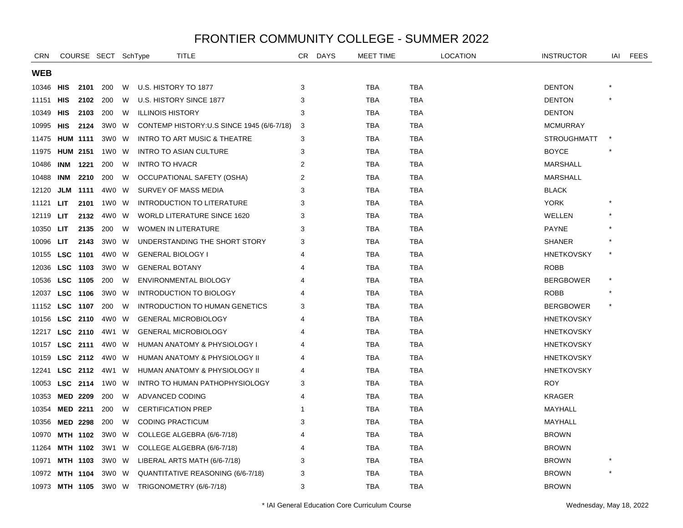| <b>CRN</b> |                 |                 | COURSE SECT SchType |   | TITLE                                      | CR             | <b>DAYS</b> | <b>MEET TIME</b> |            | <b>LOCATION</b> | <b>INSTRUCTOR</b>  | IAI     | FEES |
|------------|-----------------|-----------------|---------------------|---|--------------------------------------------|----------------|-------------|------------------|------------|-----------------|--------------------|---------|------|
| <b>WEB</b> |                 |                 |                     |   |                                            |                |             |                  |            |                 |                    |         |      |
| 10346      | HIS             | 2101            | 200                 | W | U.S. HISTORY TO 1877                       | 3              |             | TBA              | TBA        |                 | <b>DENTON</b>      |         |      |
| 11151      | HIS             |                 | 2102 200            | W | U.S. HISTORY SINCE 1877                    | 3              |             | <b>TBA</b>       | <b>TBA</b> |                 | <b>DENTON</b>      |         |      |
| 10349      | HIS             | 2103            | 200                 | W | <b>ILLINOIS HISTORY</b>                    | 3              |             | <b>TBA</b>       | <b>TBA</b> |                 | <b>DENTON</b>      |         |      |
| 10995      | HIS             | 2124            | 3W0 W               |   | CONTEMP HISTORY: U.S SINCE 1945 (6/6-7/18) | 3              |             | <b>TBA</b>       | <b>TBA</b> |                 | <b>MCMURRAY</b>    |         |      |
| 11475      |                 | <b>HUM 1111</b> | 3W0 W               |   | <b>INTRO TO ART MUSIC &amp; THEATRE</b>    | 3              |             | <b>TBA</b>       | TBA        |                 | <b>STROUGHMATT</b> |         |      |
| 11975      |                 | <b>HUM 2151</b> | 1W0 W               |   | INTRO TO ASIAN CULTURE                     | 3              |             | <b>TBA</b>       | <b>TBA</b> |                 | <b>BOYCE</b>       |         |      |
| 10486      |                 | <b>INM 1221</b> | 200                 | W | <b>INTRO TO HVACR</b>                      | 2              |             | <b>TBA</b>       | <b>TBA</b> |                 | <b>MARSHALL</b>    |         |      |
| 10488      | INM             | 2210            | 200                 | W | OCCUPATIONAL SAFETY (OSHA)                 | $\overline{2}$ |             | <b>TBA</b>       | <b>TBA</b> |                 | <b>MARSHALL</b>    |         |      |
| 12120      |                 | <b>JLM 1111</b> | 4W0 W               |   | SURVEY OF MASS MEDIA                       | 3              |             | TBA              | TBA        |                 | <b>BLACK</b>       |         |      |
| 11121      | <b>LIT</b>      | 2101            | 1W0 W               |   | <b>INTRODUCTION TO LITERATURE</b>          | 3              |             | <b>TBA</b>       | <b>TBA</b> |                 | <b>YORK</b>        |         |      |
| 12119      | <b>LIT</b>      | 2132            | 4W0 W               |   | <b>WORLD LITERATURE SINCE 1620</b>         | 3              |             | <b>TBA</b>       | TBA        |                 | WELLEN             |         |      |
| 10350      | LIT.            | 2135            | 200                 | W | <b>WOMEN IN LITERATURE</b>                 | 3              |             | <b>TBA</b>       | <b>TBA</b> |                 | <b>PAYNE</b>       |         |      |
| 10096      | LIT             | 2143            | 3W0 W               |   | UNDERSTANDING THE SHORT STORY              | 3              |             | <b>TBA</b>       | TBA        |                 | <b>SHANER</b>      |         |      |
| 10155      |                 | LSC 1101        | 4W0 W               |   | <b>GENERAL BIOLOGY I</b>                   | 4              |             | <b>TBA</b>       | <b>TBA</b> |                 | <b>HNETKOVSKY</b>  |         |      |
| 12036      |                 | LSC 1103        | 3W0 W               |   | <b>GENERAL BOTANY</b>                      | 4              |             | <b>TBA</b>       | <b>TBA</b> |                 | <b>ROBB</b>        |         |      |
| 10536      | LSC 1105        |                 | 200                 | W | ENVIRONMENTAL BIOLOGY                      |                |             | <b>TBA</b>       | <b>TBA</b> |                 | <b>BERGBOWER</b>   | $\star$ |      |
| 12037      |                 | LSC 1106        | 3WO W               |   | INTRODUCTION TO BIOLOGY                    |                |             | <b>TBA</b>       | <b>TBA</b> |                 | <b>ROBB</b>        |         |      |
| 11152      | <b>LSC 1107</b> |                 | 200                 | W | <b>INTRODUCTION TO HUMAN GENETICS</b>      | 3              |             | <b>TBA</b>       | <b>TBA</b> |                 | <b>BERGBOWER</b>   | $\star$ |      |
| 10156      |                 | LSC 2110        | 4W0 W               |   | <b>GENERAL MICROBIOLOGY</b>                | 4              |             | <b>TBA</b>       | <b>TBA</b> |                 | <b>HNETKOVSKY</b>  |         |      |
| 12217      |                 | LSC 2110        | 4W1 W               |   | <b>GENERAL MICROBIOLOGY</b>                | 4              |             | TBA              | TBA        |                 | <b>HNETKOVSKY</b>  |         |      |
| 10157      |                 | LSC 2111        | 4W0 W               |   | HUMAN ANATOMY & PHYSIOLOGY I               |                |             | <b>TBA</b>       | TBA        |                 | <b>HNETKOVSKY</b>  |         |      |
| 10159      | <b>LSC 2112</b> |                 | 4W0 W               |   | HUMAN ANATOMY & PHYSIOLOGY II              |                |             | <b>TBA</b>       | <b>TBA</b> |                 | <b>HNETKOVSKY</b>  |         |      |
| 12241      |                 |                 | LSC 2112 4W1 W      |   | HUMAN ANATOMY & PHYSIOLOGY II              | 4              |             | <b>TBA</b>       | <b>TBA</b> |                 | <b>HNETKOVSKY</b>  |         |      |
| 10053      |                 | LSC 2114        | 1W0 W               |   | INTRO TO HUMAN PATHOPHYSIOLOGY             | 3              |             | TBA              | TBA        |                 | <b>ROY</b>         |         |      |
| 10353      |                 | <b>MED 2209</b> | 200                 | W | ADVANCED CODING                            | 4              |             | <b>TBA</b>       | <b>TBA</b> |                 | <b>KRAGER</b>      |         |      |
| 10354      |                 | <b>MED 2211</b> | 200                 | W | <b>CERTIFICATION PREP</b>                  |                |             | <b>TBA</b>       | <b>TBA</b> |                 | MAYHALL            |         |      |
| 10356      |                 | <b>MED 2298</b> | 200                 | W | <b>CODING PRACTICUM</b>                    | 3              |             | <b>TBA</b>       | <b>TBA</b> |                 | MAYHALL            |         |      |
| 10970      |                 | MTH 1102        | 3W0 W               |   | COLLEGE ALGEBRA (6/6-7/18)                 | 4              |             | TBA              | TBA        |                 | <b>BROWN</b>       |         |      |
| 11264      |                 | MTH 1102        | 3W1 W               |   | COLLEGE ALGEBRA (6/6-7/18)                 | 4              |             | <b>TBA</b>       | <b>TBA</b> |                 | <b>BROWN</b>       |         |      |
| 10971      |                 | MTH 1103        | 3W0 W               |   | LIBERAL ARTS MATH (6/6-7/18)               | 3              |             | <b>TBA</b>       | <b>TBA</b> |                 | <b>BROWN</b>       |         |      |
| 10972      |                 | <b>MTH 1104</b> | 3W0 W               |   | QUANTITATIVE REASONING (6/6-7/18)          | З              |             | <b>TBA</b>       | <b>TBA</b> |                 | <b>BROWN</b>       |         |      |
| 10973      | MTH 1105        |                 | 3W0 W               |   | TRIGONOMETRY (6/6-7/18)                    | 3              |             | <b>TBA</b>       | TBA        |                 | <b>BROWN</b>       |         |      |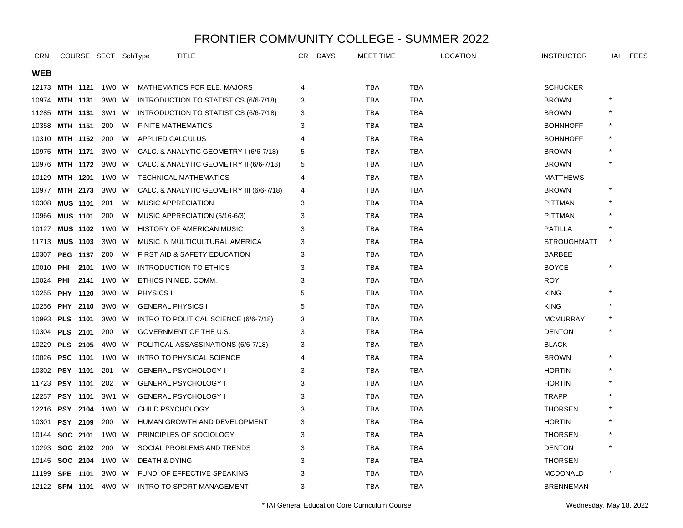| <b>CRN</b>     |                 |      | COURSE SECT SchType |   | <b>TITLE</b>                             | CR.            | <b>DAYS</b> | <b>MEET TIME</b> |            | LOCATION | <b>INSTRUCTOR</b>  | IAI | <b>FEES</b> |
|----------------|-----------------|------|---------------------|---|------------------------------------------|----------------|-------------|------------------|------------|----------|--------------------|-----|-------------|
| <b>WEB</b>     |                 |      |                     |   |                                          |                |             |                  |            |          |                    |     |             |
| 12173          | MTH 1121        |      | 1W0 W               |   | <b>MATHEMATICS FOR ELE. MAJORS</b>       | 4              |             | TBA              | TBA        |          | <b>SCHUCKER</b>    |     |             |
| 10974          | MTH 1131        |      | 3W0 W               |   | INTRODUCTION TO STATISTICS (6/6-7/18)    | 3              |             | TBA              | <b>TBA</b> |          | <b>BROWN</b>       |     |             |
| 11285          | <b>MTH 1131</b> |      | 3W1                 | W | INTRODUCTION TO STATISTICS (6/6-7/18)    | 3              |             | <b>TBA</b>       | <b>TBA</b> |          | <b>BROWN</b>       |     |             |
| 10358          | <b>MTH 1151</b> |      | 200                 | W | <b>FINITE MATHEMATICS</b>                | 3              |             | <b>TBA</b>       | <b>TBA</b> |          | <b>BOHNHOFF</b>    |     |             |
| 10310          | MTH 1152        |      | 200                 | W | APPLIED CALCULUS                         | $\overline{4}$ |             | <b>TBA</b>       | <b>TBA</b> |          | <b>BOHNHOFF</b>    |     |             |
| 10975          | <b>MTH 1171</b> |      | 3W0 W               |   | CALC. & ANALYTIC GEOMETRY I (6/6-7/18)   | 5              |             | <b>TBA</b>       | TBA        |          | <b>BROWN</b>       |     |             |
| 10976          | MTH 1172        |      | 3W0                 | W | CALC. & ANALYTIC GEOMETRY II (6/6-7/18)  | 5              |             | TBA              | <b>TBA</b> |          | <b>BROWN</b>       |     |             |
| 10129          | MTH 1201        |      | 1W0 W               |   | <b>TECHNICAL MATHEMATICS</b>             | 4              |             | <b>TBA</b>       | <b>TBA</b> |          | <b>MATTHEWS</b>    |     |             |
| 10977          | MTH 2173        |      | 3W0 W               |   | CALC. & ANALYTIC GEOMETRY III (6/6-7/18) | 4              |             | <b>TBA</b>       | <b>TBA</b> |          | <b>BROWN</b>       |     |             |
| 10308          | <b>MUS 1101</b> |      | 201                 | W | <b>MUSIC APPRECIATION</b>                | 3              |             | TBA              | TBA        |          | <b>PITTMAN</b>     |     |             |
| 10966          | <b>MUS 1101</b> |      | 200                 | W | MUSIC APPRECIATION (5/16-6/3)            | 3              |             | TBA              | TBA        |          | <b>PITTMAN</b>     |     |             |
| 10127          | <b>MUS 1102</b> |      | 1W0                 | W | HISTORY OF AMERICAN MUSIC                | 3              |             | <b>TBA</b>       | TBA        |          | <b>PATILLA</b>     |     |             |
| 11713          | <b>MUS 1103</b> |      | 3W0 W               |   | MUSIC IN MULTICULTURAL AMERICA           | 3              |             | <b>TBA</b>       | <b>TBA</b> |          | <b>STROUGHMATT</b> |     |             |
| 10307          | PEG 1137        |      | 200                 | W | FIRST AID & SAFETY EDUCATION             | 3              |             | <b>TBA</b>       | <b>TBA</b> |          | <b>BARBEE</b>      |     |             |
| 10010          | PHI             | 2101 | 1W0                 | W | INTRODUCTION TO ETHICS                   | 3              |             | <b>TBA</b>       | TBA        |          | <b>BOYCE</b>       |     |             |
| 10024          | PHI             | 2141 | 1W0                 | W | ETHICS IN MED. COMM.                     | 3              |             | <b>TBA</b>       | <b>TBA</b> |          | <b>ROY</b>         |     |             |
| 10255          | <b>PHY 1120</b> |      | 3W0                 | W | PHYSICS I                                | 5              |             | <b>TBA</b>       | <b>TBA</b> |          | <b>KING</b>        |     |             |
| 10256          | PHY 2110        |      | 3W0 W               |   | <b>GENERAL PHYSICS I</b>                 | 5              |             | <b>TBA</b>       | <b>TBA</b> |          | <b>KING</b>        |     |             |
| 10993          | PLS 1101        |      | 3W0 W               |   | INTRO TO POLITICAL SCIENCE (6/6-7/18)    | 3              |             | <b>TBA</b>       | TBA        |          | <b>MCMURRAY</b>    |     |             |
| 10304          | <b>PLS 2101</b> |      | 200                 | W | GOVERNMENT OF THE U.S.                   | 3              |             | <b>TBA</b>       | <b>TBA</b> |          | <b>DENTON</b>      |     |             |
| 10229          | <b>PLS 2105</b> |      | 4W0                 | W | POLITICAL ASSASSINATIONS (6/6-7/18)      | 3              |             | <b>TBA</b>       | <b>TBA</b> |          | <b>BLACK</b>       |     |             |
| 10026          | PSC 1101        |      | 1W0                 | W | <b>INTRO TO PHYSICAL SCIENCE</b>         | 4              |             | TBA              | TBA        |          | <b>BROWN</b>       |     |             |
| 10302          | PSY 1101        |      | 201                 | W | <b>GENERAL PSYCHOLOGY I</b>              | 3              |             | <b>TBA</b>       | <b>TBA</b> |          | <b>HORTIN</b>      |     |             |
| 11723          | <b>PSY 1101</b> |      | 202                 | W | <b>GENERAL PSYCHOLOGY I</b>              | 3              |             | <b>TBA</b>       | <b>TBA</b> |          | <b>HORTIN</b>      |     |             |
| 12257          | <b>PSY 1101</b> |      | 3W1                 | W | <b>GENERAL PSYCHOLOGY I</b>              | 3              |             | <b>TBA</b>       | <b>TBA</b> |          | <b>TRAPP</b>       |     |             |
| 12216          | <b>PSY 2104</b> |      | 1W0                 | W | CHILD PSYCHOLOGY                         | 3              |             | <b>TBA</b>       | <b>TBA</b> |          | <b>THORSEN</b>     |     |             |
| 10301          | <b>PSY 2109</b> |      | 200                 | W | HUMAN GROWTH AND DEVELOPMENT             | 3              |             | <b>TBA</b>       | <b>TBA</b> |          | <b>HORTIN</b>      |     |             |
| 10144          | SOC 2101        |      | 1W0                 | W | PRINCIPLES OF SOCIOLOGY                  | 3              |             | <b>TBA</b>       | <b>TBA</b> |          | <b>THORSEN</b>     |     |             |
| 10293          | SOC 2102        |      | 200                 | W | SOCIAL PROBLEMS AND TRENDS               | 3              |             | <b>TBA</b>       | <b>TBA</b> |          | <b>DENTON</b>      |     |             |
| 10145          | SOC 2104        |      | 1W0 W               |   | <b>DEATH &amp; DYING</b>                 | 3              |             | TBA              | TBA        |          | <b>THORSEN</b>     |     |             |
| 11199          | SPE 1101        |      | 3W0                 | W | FUND. OF EFFECTIVE SPEAKING              | 3              |             | <b>TBA</b>       | TBA        |          | <b>MCDONALD</b>    |     |             |
| 12122 SPM 1101 |                 |      | 4W0 W               |   | INTRO TO SPORT MANAGEMENT                | 3              |             | <b>TBA</b>       | <b>TBA</b> |          | <b>BRENNEMAN</b>   |     |             |